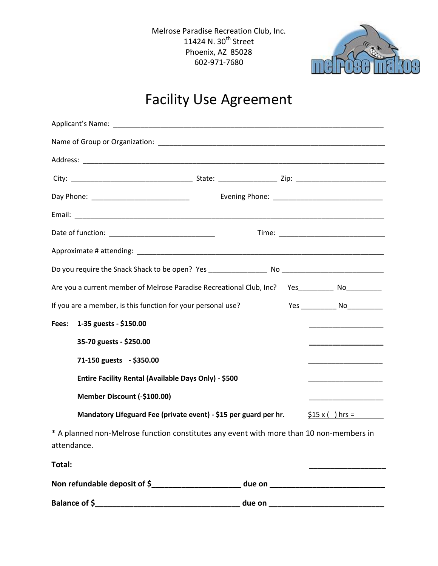Melrose Paradise Recreation Club, Inc. 11424 N. 30<sup>th</sup> Street Phoenix, AZ 85028 602-971-7680



## Facility Use Agreement

|                                                                  | Are you a current member of Melrose Paradise Recreational Club, Inc? Yes_________ No_________                          |
|------------------------------------------------------------------|------------------------------------------------------------------------------------------------------------------------|
| If you are a member, is this function for your personal use?     | Yes ________________ No_____________                                                                                   |
| 1-35 guests - \$150.00<br>Fees:                                  |                                                                                                                        |
| 35-70 guests - \$250.00                                          | __________________                                                                                                     |
| 71-150 guests - \$350.00                                         |                                                                                                                        |
| Entire Facility Rental (Available Days Only) - \$500             | <u> 1980 - Johann John Harry Harry Harry Harry Harry Harry Harry Harry Harry Harry Harry Harry Harry Harry Harry H</u> |
| Member Discount (-\$100.00)                                      | <u> 1980 - Jan Barnett, fransk politik (d. 1980)</u>                                                                   |
| Mandatory Lifeguard Fee (private event) - \$15 per guard per hr. | $$15x() hrs =$                                                                                                         |
| attendance.                                                      | * A planned non-Melrose function constitutes any event with more than 10 non-members in                                |
| Total:                                                           |                                                                                                                        |
|                                                                  | Non refundable deposit of \$________________________ due on ______________________                                     |
|                                                                  |                                                                                                                        |